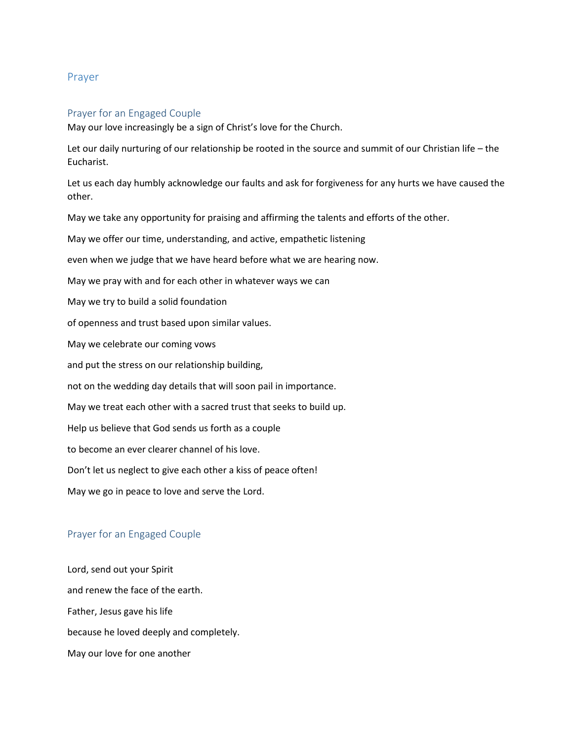## Prayer

#### Prayer for an Engaged Couple

May our love increasingly be a sign of Christ's love for the Church.

Let our daily nurturing of our relationship be rooted in the source and summit of our Christian life – the Eucharist.

Let us each day humbly acknowledge our faults and ask for forgiveness for any hurts we have caused the other.

May we take any opportunity for praising and affirming the talents and efforts of the other.

May we offer our time, understanding, and active, empathetic listening

even when we judge that we have heard before what we are hearing now.

May we pray with and for each other in whatever ways we can

May we try to build a solid foundation

of openness and trust based upon similar values.

May we celebrate our coming vows

and put the stress on our relationship building,

not on the wedding day details that will soon pail in importance.

May we treat each other with a sacred trust that seeks to build up.

Help us believe that God sends us forth as a couple

to become an ever clearer channel of his love.

Don't let us neglect to give each other a kiss of peace often!

May we go in peace to love and serve the Lord.

# Prayer for an Engaged Couple

Lord, send out your Spirit and renew the face of the earth. Father, Jesus gave his life because he loved deeply and completely. May our love for one another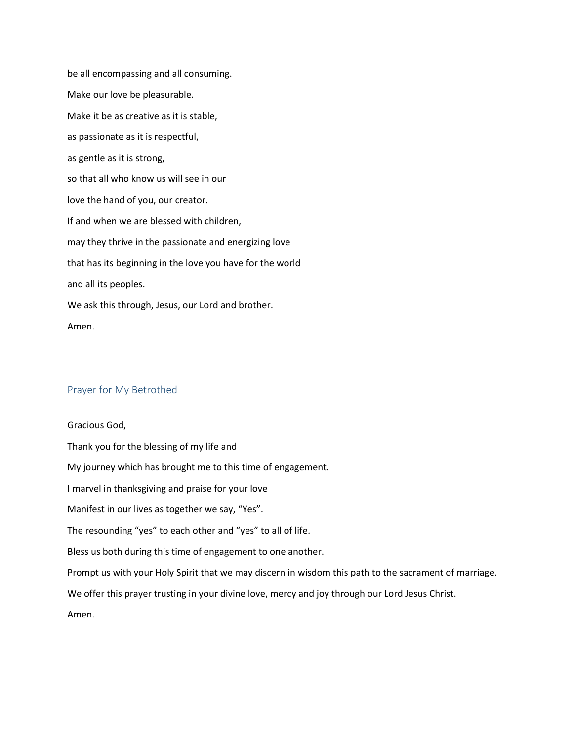be all encompassing and all consuming. Make our love be pleasurable. Make it be as creative as it is stable, as passionate as it is respectful, as gentle as it is strong, so that all who know us will see in our love the hand of you, our creator. If and when we are blessed with children, may they thrive in the passionate and energizing love that has its beginning in the love you have for the world and all its peoples. We ask this through, Jesus, our Lord and brother. Amen.

### Prayer for My Betrothed

Gracious God, Thank you for the blessing of my life and My journey which has brought me to this time of engagement. I marvel in thanksgiving and praise for your love Manifest in our lives as together we say, "Yes". The resounding "yes" to each other and "yes" to all of life. Bless us both during this time of engagement to one another. Prompt us with your Holy Spirit that we may discern in wisdom this path to the sacrament of marriage. We offer this prayer trusting in your divine love, mercy and joy through our Lord Jesus Christ. Amen.